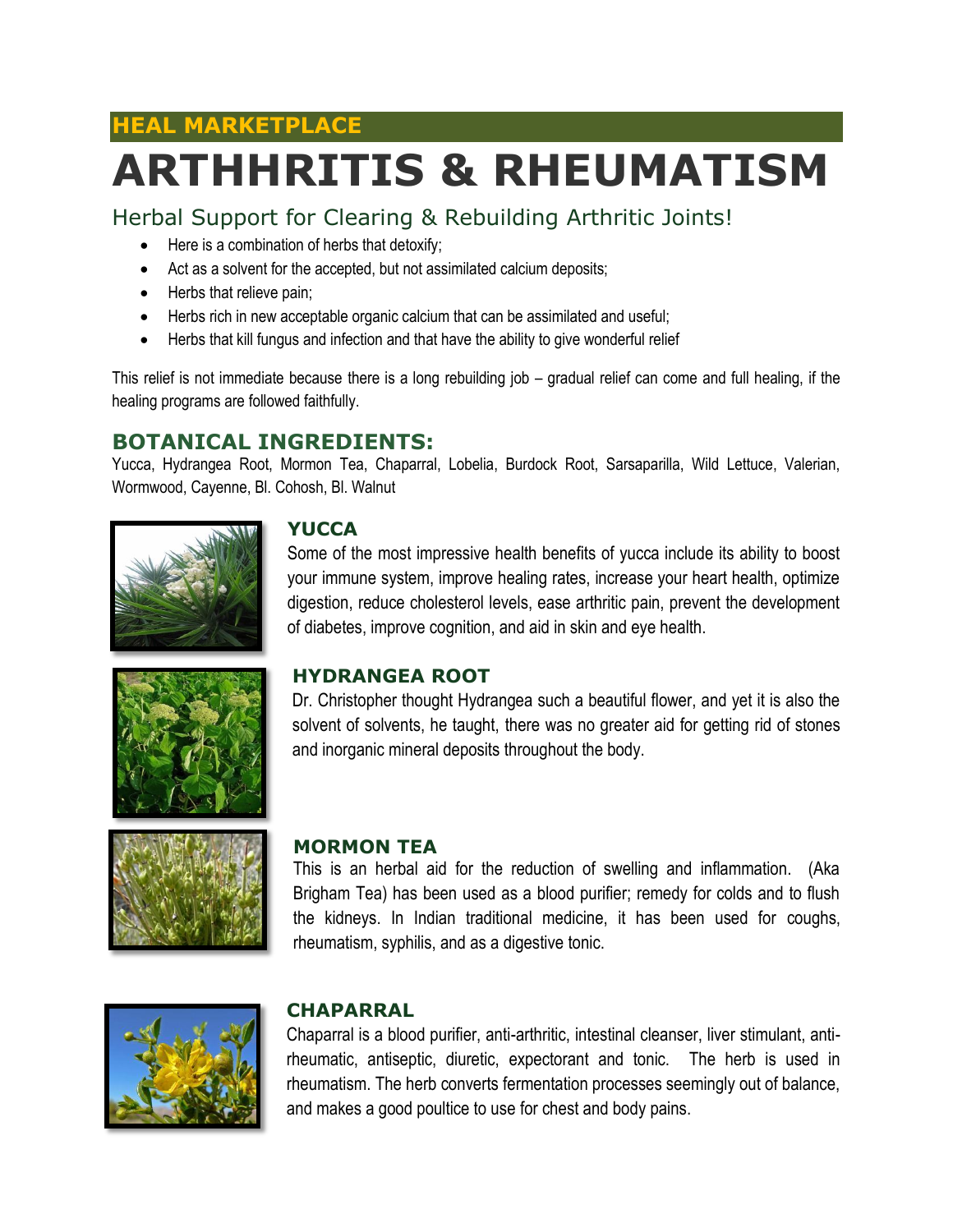### **HEAL MARKETPLACE**

# **ARTHHRITIS & RHEUMATISM**

Herbal Support for Clearing & Rebuilding Arthritic Joints!

- Here is a combination of herbs that detoxify;
- Act as a solvent for the accepted, but not assimilated calcium deposits;
- Herbs that relieve pain;
- Herbs rich in new acceptable organic calcium that can be assimilated and useful;
- Herbs that kill fungus and infection and that have the ability to give wonderful relief

This relief is not immediate because there is a long rebuilding job – gradual relief can come and full healing, if the healing programs are followed faithfully.

#### **BOTANICAL INGREDIENTS:**

Yucca, Hydrangea Root, Mormon Tea, Chaparral, Lobelia, Burdock Root, Sarsaparilla, Wild Lettuce, Valerian, Wormwood, Cayenne, Bl. Cohosh, Bl. Walnut



#### **YUCCA**

Some of the most impressive health benefits of yucca include its ability to boost your immune system, improve healing rates, increase your heart health, optimize digestion, reduce cholesterol levels, ease arthritic pain, prevent the development of diabetes, improve cognition, and aid in skin and eye health.



#### **HYDRANGEA ROOT**

Dr. Christopher thought Hydrangea such a beautiful flower, and yet it is also the solvent of solvents, he taught, there was no greater aid for getting rid of stones and inorganic mineral deposits throughout the body.



#### **MORMON TEA**

This is an herbal aid for the reduction of swelling and inflammation. (Aka Brigham Tea) has been used as a blood purifier; remedy for colds and to flush the kidneys. In Indian traditional medicine, it has been used for coughs, rheumatism, syphilis, and as a digestive tonic.



#### **CHAPARRAL**

Chaparral is a blood purifier, anti-arthritic, intestinal cleanser, liver stimulant, antirheumatic, antiseptic, diuretic, expectorant and tonic. The herb is used in rheumatism. The herb converts fermentation processes seemingly out of balance, and makes a good poultice to use for chest and body pains.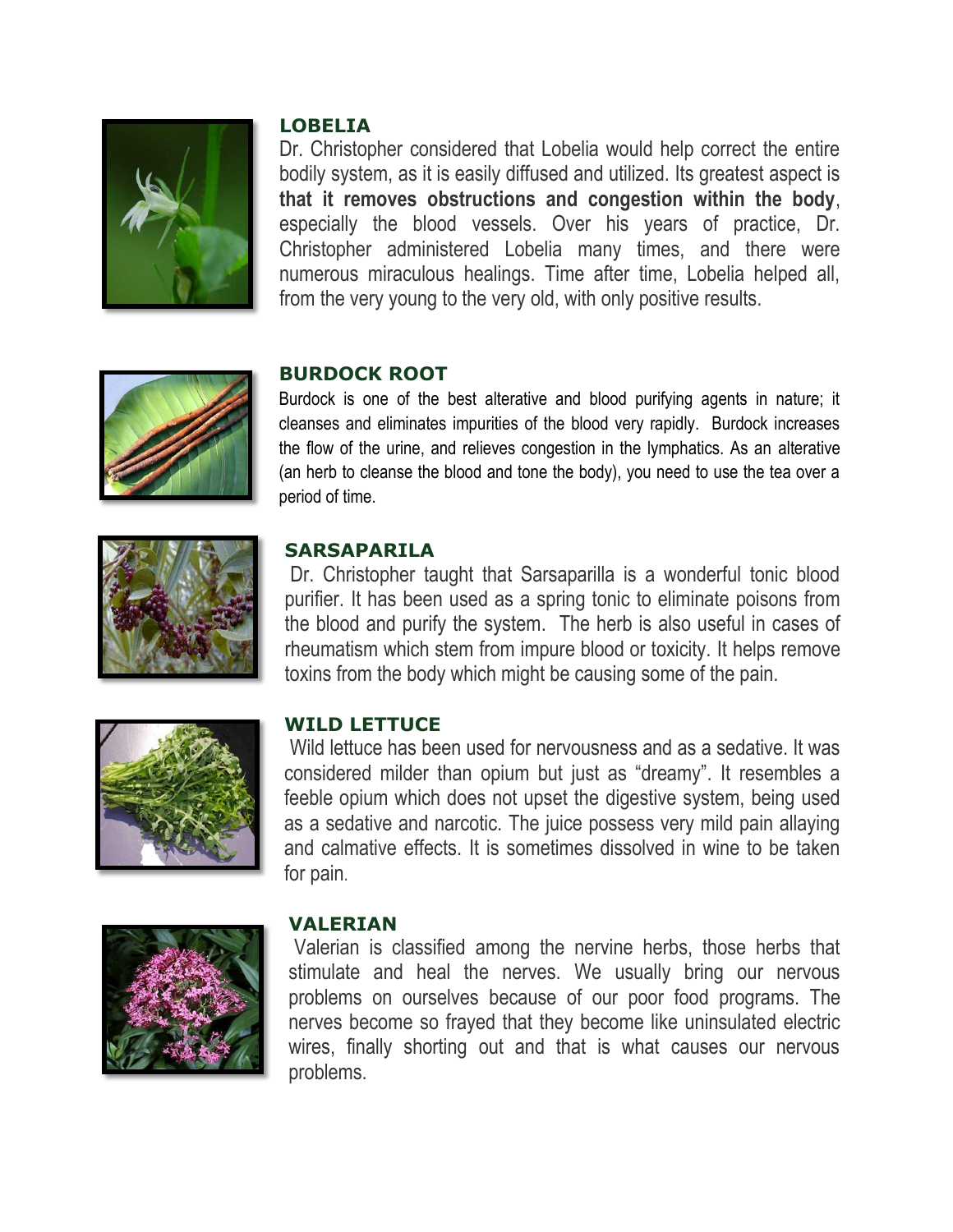

#### **LOBELIA**

Dr. Christopher considered that Lobelia would help correct the entire bodily system, as it is easily diffused and utilized. Its greatest aspect is **that it removes obstructions and congestion within the body**, especially the blood vessels. Over his years of practice, Dr. Christopher administered Lobelia many times, and there were numerous miraculous healings. Time after time, Lobelia helped all, from the very young to the very old, with only positive results.



#### **BURDOCK ROOT**

Burdock is one of the best alterative and blood purifying agents in nature; it cleanses and eliminates impurities of the blood very rapidly. Burdock increases the flow of the urine, and relieves congestion in the lymphatics. As an alterative (an herb to cleanse the blood and tone the body), you need to use the tea over a period of time.



#### **SARSAPARILA**

Dr. Christopher taught that Sarsaparilla is a wonderful tonic blood purifier. It has been used as a spring tonic to eliminate poisons from the blood and purify the system. The herb is also useful in cases of rheumatism which stem from impure blood or toxicity. It helps remove toxins from the body which might be causing some of the pain.



#### **WILD LETTUCE**

Wild lettuce has been used for nervousness and as a sedative. It was considered milder than opium but just as "dreamy". It resembles a feeble opium which does not upset the digestive system, being used as a sedative and narcotic. The juice possess very mild pain allaying and calmative effects. It is sometimes dissolved in wine to be taken for pain.



#### **VALERIAN**

Valerian is classified among the nervine herbs, those herbs that stimulate and heal the nerves. We usually bring our nervous problems on ourselves because of our poor food programs. The nerves become so frayed that they become like uninsulated electric wires, finally shorting out and that is what causes our nervous problems.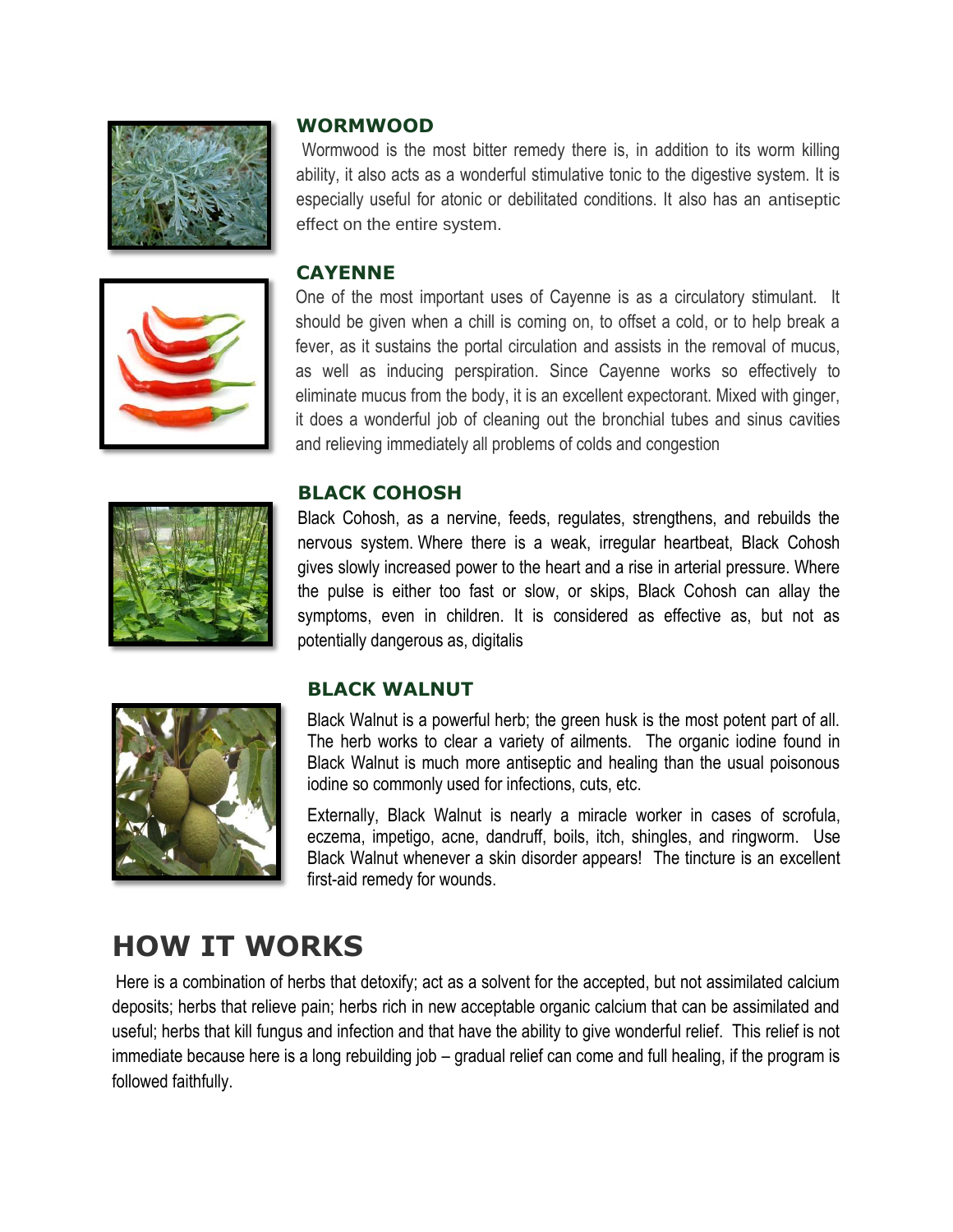



#### **WORMWOOD**

Wormwood is the most bitter remedy there is, in addition to its worm killing ability, it also acts as a wonderful stimulative tonic to the digestive system. It is especially useful for atonic or debilitated conditions. It also has an antiseptic effect on the entire system.

#### **CAYENNE**

One of the most important uses of Cayenne is as a circulatory stimulant. It should be given when a chill is coming on, to offset a cold, or to help break a fever, as it sustains the portal circulation and assists in the removal of mucus, as well as inducing perspiration. Since Cayenne works so effectively to eliminate mucus from the body, it is an excellent expectorant. Mixed with ginger, it does a wonderful job of cleaning out the bronchial tubes and sinus cavities and relieving immediately all problems of colds and congestion





Black Cohosh, as a nervine, feeds, regulates, strengthens, and rebuilds the nervous system. Where there is a weak, irregular heartbeat, Black Cohosh gives slowly increased power to the heart and a rise in arterial pressure. Where the pulse is either too fast or slow, or skips, Black Cohosh can allay the symptoms, even in children. It is considered as effective as, but not as potentially dangerous as, digitalis

#### **BLACK WALNUT**



Black Walnut is a powerful herb; the green husk is the most potent part of all. The herb works to clear a variety of ailments. The organic iodine found in Black Walnut is much more antiseptic and healing than the usual poisonous iodine so commonly used for infections, cuts, etc.

Externally, Black Walnut is nearly a miracle worker in cases of scrofula, eczema, impetigo, acne, dandruff, boils, itch, shingles, and ringworm. Use Black Walnut whenever a skin disorder appears! The tincture is an excellent first-aid remedy for wounds.

## **HOW IT WORKS**

Here is a combination of herbs that detoxify; act as a solvent for the accepted, but not assimilated calcium deposits; herbs that relieve pain; herbs rich in new acceptable organic calcium that can be assimilated and useful; herbs that kill fungus and infection and that have the ability to give wonderful relief. This relief is not immediate because here is a long rebuilding job – gradual relief can come and full healing, if the program is followed faithfully.